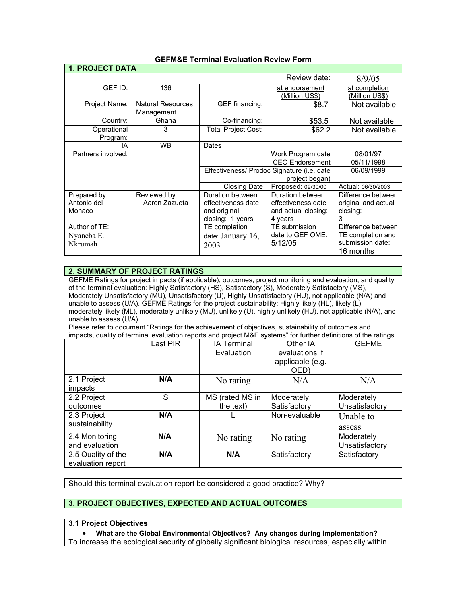| <b>1. PROJECT DATA</b>  |                                        |                                            |                                  |                                 |  |
|-------------------------|----------------------------------------|--------------------------------------------|----------------------------------|---------------------------------|--|
|                         |                                        |                                            | Review date:                     | 8/9/05                          |  |
| GEF ID:                 | 136                                    |                                            | at endorsement<br>(Million US\$) | at completion<br>(Million US\$) |  |
| Project Name:           | <b>Natural Resources</b><br>Management | GEF financing:                             | \$8.7                            | Not available                   |  |
| Country:                | Ghana                                  | Co-financing:                              | \$53.5                           | Not available                   |  |
| Operational<br>Program: | 3                                      | Total Project Cost:                        | \$62.2                           | Not available                   |  |
| ΙA                      | <b>WB</b>                              | Dates                                      |                                  |                                 |  |
| Partners involved:      |                                        |                                            | Work Program date                | 08/01/97                        |  |
|                         |                                        |                                            | <b>CEO Endorsement</b>           | 05/11/1998                      |  |
|                         |                                        | Effectiveness/ Prodoc Signature (i.e. date |                                  | 06/09/1999                      |  |
|                         |                                        |                                            | project began)                   |                                 |  |
|                         |                                        | <b>Closing Date</b>                        | Proposed: 09/30/00               | Actual: 06/30/2003              |  |
| Prepared by:            | Reviewed by:                           | Duration between                           | Duration between                 | Difference between              |  |
| Antonio del             | Aaron Zazueta                          | effectiveness date                         | effectiveness date               | original and actual             |  |
| Monaco                  |                                        | and original                               | and actual closing:              | closing:                        |  |
|                         |                                        | closing: 1 years                           | 4 years                          | 3                               |  |
| Author of TE:           |                                        | TE completion                              | TE submission                    | Difference between              |  |
| Nyaneba E.              |                                        | date: January $16$ ,                       | date to GEF OME:                 | TE completion and               |  |
| Nkrumah                 |                                        | 2003                                       | 5/12/05                          | submission date:                |  |
|                         |                                        |                                            |                                  | 16 months                       |  |

### **GEFM&E Terminal Evaluation Review Form**

## **2. SUMMARY OF PROJECT RATINGS**

GEFME Ratings for project impacts (if applicable), outcomes, project monitoring and evaluation, and quality of the terminal evaluation: Highly Satisfactory (HS), Satisfactory (S), Moderately Satisfactory (MS), Moderately Unsatisfactory (MU), Unsatisfactory (U), Highly Unsatisfactory (HU), not applicable (N/A) and unable to assess (U/A). GEFME Ratings for the project sustainability: Highly likely (HL), likely (L), moderately likely (ML), moderately unlikely (MU), unlikely (U), highly unlikely (HU), not applicable (N/A), and unable to assess (U/A).

Please refer to document "Ratings for the achievement of objectives, sustainability of outcomes and impacts, quality of terminal evaluation reports and project M&E systems" for further definitions of the ratings.

| <b>P.P.P.</b>      |          |                    |                  |                |
|--------------------|----------|--------------------|------------------|----------------|
|                    | Last PIR | <b>IA Terminal</b> | Other IA         | <b>GEFME</b>   |
|                    |          | Evaluation         | evaluations if   |                |
|                    |          |                    | applicable (e.g. |                |
|                    |          |                    | OED)             |                |
| 2.1 Project        | N/A      | No rating          | N/A              | N/A            |
| impacts            |          |                    |                  |                |
| 2.2 Project        | S        | MS (rated MS in    | Moderately       | Moderately     |
| outcomes           |          | the text)          | Satisfactory     | Unsatisfactory |
| 2.3 Project        | N/A      |                    | Non-evaluable    | Unable to      |
| sustainability     |          |                    |                  | assess         |
|                    |          |                    |                  |                |
| 2.4 Monitoring     | N/A      | No rating          | No rating        | Moderately     |
| and evaluation     |          |                    |                  | Unsatisfactory |
| 2.5 Quality of the | N/A      | N/A                | Satisfactory     | Satisfactory   |
| evaluation report  |          |                    |                  |                |

Should this terminal evaluation report be considered a good practice? Why?

## **3. PROJECT OBJECTIVES, EXPECTED AND ACTUAL OUTCOMES**

#### **3.1 Project Objectives**

• **What are the Global Environmental Objectives? Any changes during implementation?** To increase the ecological security of globally significant biological resources, especially within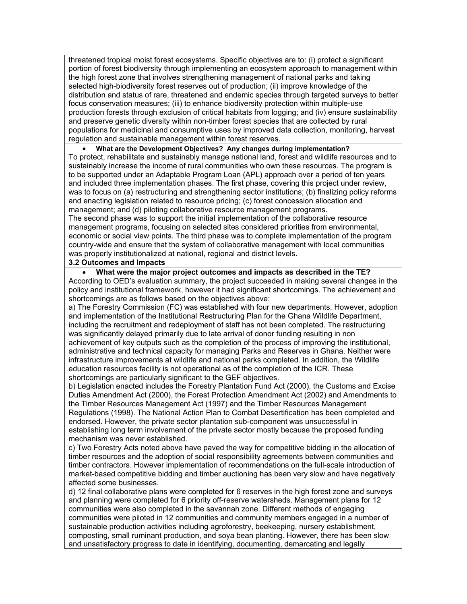threatened tropical moist forest ecosystems. Specific objectives are to: (i) protect a significant portion of forest biodiversity through implementing an ecosystem approach to management within the high forest zone that involves strengthening management of national parks and taking selected high-biodiversity forest reserves out of production; (ii) improve knowledge of the distribution and status of rare, threatened and endemic species through targeted surveys to better focus conservation measures; (iii) to enhance biodiversity protection within multiple-use production forests through exclusion of critical habitats from logging; and (iv) ensure sustainability and preserve genetic diversity within non-timber forest species that are collected by rural populations for medicinal and consumptive uses by improved data collection, monitoring, harvest regulation and sustainable management within forest reserves.

## • **What are the Development Objectives? Any changes during implementation?**

To protect, rehabilitate and sustainably manage national land, forest and wildlife resources and to sustainably increase the income of rural communities who own these resources. The program is to be supported under an Adaptable Program Loan (APL) approach over a period of ten years and included three implementation phases. The first phase, covering this project under review, was to focus on (a) restructuring and strengthening sector institutions; (b) finalizing policy reforms and enacting legislation related to resource pricing; (c) forest concession allocation and management; and (d) piloting collaborative resource management programs.

The second phase was to support the initial implementation of the collaborative resource management programs, focusing on selected sites considered priorities from environmental, economic or social view points. The third phase was to complete implementation of the program country-wide and ensure that the system of collaborative management with local communities was properly institutionalized at national, regional and district levels.

### **3.2 Outcomes and Impacts**

## • **What were the major project outcomes and impacts as described in the TE?**

According to OED's evaluation summary, the project succeeded in making several changes in the policy and institutional framework, however it had significant shortcomings. The achievement and shortcomings are as follows based on the objectives above:

a) The Forestry Commission (FC) was established with four new departments. However, adoption and implementation of the Institutional Restructuring Plan for the Ghana Wildlife Department, including the recruitment and redeployment of staff has not been completed. The restructuring was significantly delayed primarily due to late arrival of donor funding resulting in non achievement of key outputs such as the completion of the process of improving the institutional, administrative and technical capacity for managing Parks and Reserves in Ghana. Neither were infrastructure improvements at wildlife and national parks completed. In addition, the Wildlife education resources facility is not operational as of the completion of the ICR. These shortcomings are particularly significant to the GEF objectives.

b) Legislation enacted includes the Forestry Plantation Fund Act (2000), the Customs and Excise Duties Amendment Act (2000), the Forest Protection Amendment Act (2002) and Amendments to the Timber Resources Management Act (1997) and the Timber Resources Management Regulations (1998). The National Action Plan to Combat Desertification has been completed and endorsed. However, the private sector plantation sub-component was unsuccessful in establishing long term involvement of the private sector mostly because the proposed funding mechanism was never established.

c) Two Forestry Acts noted above have paved the way for competitive bidding in the allocation of timber resources and the adoption of social responsibility agreements between communities and timber contractors. However implementation of recommendations on the full-scale introduction of market-based competitive bidding and timber auctioning has been very slow and have negatively affected some businesses.

d) 12 final collaborative plans were completed for 6 reserves in the high forest zone and surveys and planning were completed for 6 priority off-reserve watersheds. Management plans for 12 communities were also completed in the savannah zone. Different methods of engaging communities were piloted in 12 communities and community members engaged in a number of sustainable production activities including agroforestry, beekeeping, nursery establishment, composting, small ruminant production, and soya bean planting. However, there has been slow and unsatisfactory progress to date in identifying, documenting, demarcating and legally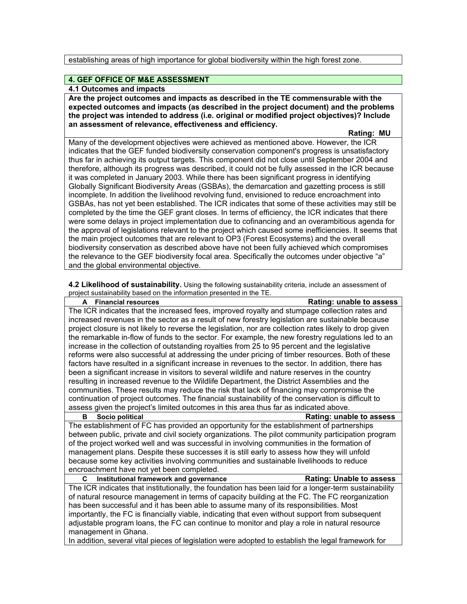establishing areas of high importance for global biodiversity within the high forest zone.

## **4. GEF OFFICE OF M&E ASSESSMENT**

**4.1 Outcomes and impacts**

**Are the project outcomes and impacts as described in the TE commensurable with the expected outcomes and impacts (as described in the project document) and the problems the project was intended to address (i.e. original or modified project objectives)? Include an assessment of relevance, effectiveness and efficiency.** 

 **Rating: MU** 

Many of the development objectives were achieved as mentioned above. However, the ICR indicates that the GEF funded biodiversity conservation component's progress is unsatisfactory thus far in achieving its output targets. This component did not close until September 2004 and therefore, although its progress was described, it could not be fully assessed in the ICR because it was completed in January 2003. While there has been significant progress in identifying Globally Significant Biodiversity Areas (GSBAs), the demarcation and gazetting process is still incomplete. In addition the livelihood revolving fund, envisioned to reduce encroachment into GSBAs, has not yet been established. The ICR indicates that some of these activities may still be completed by the time the GEF grant closes. In terms of efficiency, the ICR indicates that there were some delays in project implementation due to cofinancing and an overambitious agenda for the approval of legislations relevant to the project which caused some inefficiencies. It seems that the main project outcomes that are relevant to OP3 (Forest Ecosystems) and the overall biodiversity conservation as described above have not been fully achieved which compromises the relevance to the GEF biodiversity focal area. Specifically the outcomes under objective "a" and the global environmental objective.

**4.2 Likelihood of sustainability.** Using the following sustainability criteria, include an assessment of project sustainability based on the information presented in the TE.

| Rating: unable to assess<br><b>Financial resources</b><br>A                                             |  |  |  |
|---------------------------------------------------------------------------------------------------------|--|--|--|
| The ICR indicates that the increased fees, improved royalty and stumpage collection rates and           |  |  |  |
| increased revenues in the sector as a result of new forestry legislation are sustainable because        |  |  |  |
| project closure is not likely to reverse the legislation, nor are collection rates likely to drop given |  |  |  |
| the remarkable in-flow of funds to the sector. For example, the new forestry regulations led to an      |  |  |  |
| increase in the collection of outstanding royalties from 25 to 95 percent and the legislative           |  |  |  |
| reforms were also successful at addressing the under pricing of timber resources. Both of these         |  |  |  |
| factors have resulted in a significant increase in revenues to the sector. In addition, there has       |  |  |  |
| been a significant increase in visitors to several wildlife and nature reserves in the country          |  |  |  |
| resulting in increased revenue to the Wildlife Department, the District Assemblies and the              |  |  |  |
| communities. These results may reduce the risk that lack of financing may compromise the                |  |  |  |
| continuation of project outcomes. The financial sustainability of the conservation is difficult to      |  |  |  |
| assess given the project's limited outcomes in this area thus far as indicated above.                   |  |  |  |
| Socio political<br><b>Rating: unable to assess</b><br>в                                                 |  |  |  |
| The establishment of FC has provided an opportunity for the establishment of partnerships               |  |  |  |
| between public, private and civil society organizations. The pilot community participation program      |  |  |  |
| of the project worked well and was successful in involving communities in the formation of              |  |  |  |
| management plans. Despite these successes it is still early to assess how they will unfold              |  |  |  |
| because some key activities involving communities and sustainable livelihoods to reduce                 |  |  |  |
| encroachment have not yet been completed.                                                               |  |  |  |
| Institutional framework and governance<br><b>Rating: Unable to assess</b><br>C                          |  |  |  |
| The ICR indicates that institutionally, the foundation has been laid for a longer-term sustainability   |  |  |  |
| of natural resource management in terms of capacity building at the FC. The FC reorganization           |  |  |  |
| has been successful and it has been able to assume many of its responsibilities. Most                   |  |  |  |
| importantly, the FC is financially viable, indicating that even without support from subsequent         |  |  |  |
| adjustable program loans, the FC can continue to monitor and play a role in natural resource            |  |  |  |
| management in Ghana.                                                                                    |  |  |  |

In addition, several vital pieces of legislation were adopted to establish the legal framework for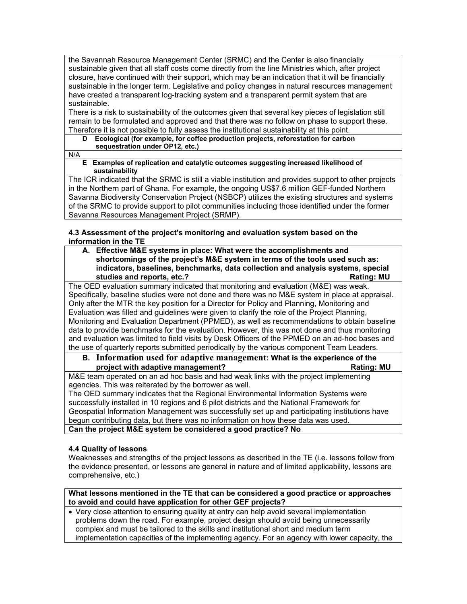the Savannah Resource Management Center (SRMC) and the Center is also financially sustainable given that all staff costs come directly from the line Ministries which, after project closure, have continued with their support, which may be an indication that it will be financially sustainable in the longer term. Legislative and policy changes in natural resources management have created a transparent log-tracking system and a transparent permit system that are sustainable.

There is a risk to sustainability of the outcomes given that several key pieces of legislation still remain to be formulated and approved and that there was no follow on phase to support these. Therefore it is not possible to fully assess the institutional sustainability at this point.

## **D Ecological (for example, for coffee production projects, reforestation for carbon sequestration under OP12, etc.)**

N/A

#### **E Examples of replication and catalytic outcomes suggesting increased likelihood of sustainability**

The ICR indicated that the SRMC is still a viable institution and provides support to other projects in the Northern part of Ghana. For example, the ongoing US\$7.6 million GEF-funded Northern Savanna Biodiversity Conservation Project (NSBCP) utilizes the existing structures and systems of the SRMC to provide support to pilot communities including those identified under the former Savanna Resources Management Project (SRMP).

## **4.3 Assessment of the project's monitoring and evaluation system based on the information in the TE**

**A. Effective M&E systems in place: What were the accomplishments and shortcomings of the project's M&E system in terms of the tools used such as: indicators, baselines, benchmarks, data collection and analysis systems, special**  studies and reports, etc.?

The OED evaluation summary indicated that monitoring and evaluation (M&E) was weak. Specifically, baseline studies were not done and there was no M&E system in place at appraisal. Only after the MTR the key position for a Director for Policy and Planning, Monitoring and Evaluation was filled and guidelines were given to clarify the role of the Project Planning, Monitoring and Evaluation Department (PPMED), as well as recommendations to obtain baseline data to provide benchmarks for the evaluation. However, this was not done and thus monitoring and evaluation was limited to field visits by Desk Officers of the PPMED on an ad-hoc bases and the use of quarterly reports submitted periodically by the various component Team Leaders.

## **B. Information used for adaptive management: What is the experience of the project with adaptive management? Rating: MU**

M&E team operated on an ad hoc basis and had weak links with the project implementing agencies. This was reiterated by the borrower as well.

The OED summary indicates that the Regional Environmental Information Systems were successfully installed in 10 regions and 6 pilot districts and the National Framework for Geospatial Information Management was successfully set up and participating institutions have begun contributing data, but there was no information on how these data was used.

## **Can the project M&E system be considered a good practice? No**

## **4.4 Quality of lessons**

Weaknesses and strengths of the project lessons as described in the TE (i.e. lessons follow from the evidence presented, or lessons are general in nature and of limited applicability, lessons are comprehensive, etc.)

## **What lessons mentioned in the TE that can be considered a good practice or approaches to avoid and could have application for other GEF projects?**

• Very close attention to ensuring quality at entry can help avoid several implementation problems down the road. For example, project design should avoid being unnecessarily complex and must be tailored to the skills and institutional short and medium term implementation capacities of the implementing agency. For an agency with lower capacity, the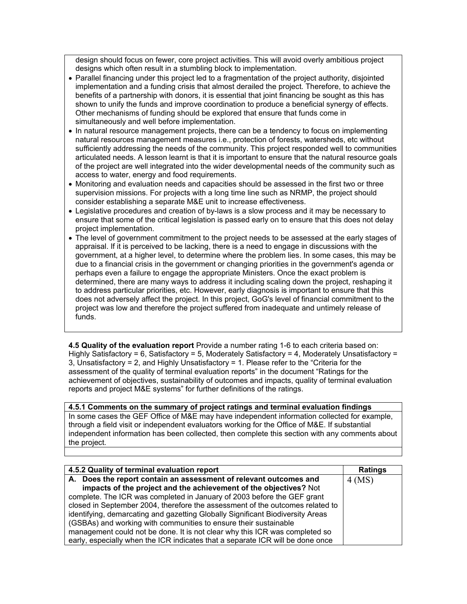design should focus on fewer, core project activities. This will avoid overly ambitious project designs which often result in a stumbling block to implementation.

- Parallel financing under this project led to a fragmentation of the project authority, disjointed implementation and a funding crisis that almost derailed the project. Therefore, to achieve the benefits of a partnership with donors, it is essential that joint financing be sought as this has shown to unify the funds and improve coordination to produce a beneficial synergy of effects. Other mechanisms of funding should be explored that ensure that funds come in simultaneously and well before implementation.
- In natural resource management projects, there can be a tendency to focus on implementing natural resources management measures i.e., protection of forests, watersheds, etc without sufficiently addressing the needs of the community. This project responded well to communities articulated needs. A lesson learnt is that it is important to ensure that the natural resource goals of the project are well integrated into the wider developmental needs of the community such as access to water, energy and food requirements.
- Monitoring and evaluation needs and capacities should be assessed in the first two or three supervision missions. For projects with a long time line such as NRMP, the project should consider establishing a separate M&E unit to increase effectiveness.
- Legislative procedures and creation of by-laws is a slow process and it may be necessary to ensure that some of the critical legislation is passed early on to ensure that this does not delay project implementation.
- The level of government commitment to the project needs to be assessed at the early stages of appraisal. If it is perceived to be lacking, there is a need to engage in discussions with the government, at a higher level, to determine where the problem lies. In some cases, this may be due to a financial crisis in the government or changing priorities in the government's agenda or perhaps even a failure to engage the appropriate Ministers. Once the exact problem is determined, there are many ways to address it including scaling down the project, reshaping it to address particular priorities, etc. However, early diagnosis is important to ensure that this does not adversely affect the project. In this project, GoG's level of financial commitment to the project was low and therefore the project suffered from inadequate and untimely release of funds.

**4.5 Quality of the evaluation report** Provide a number rating 1-6 to each criteria based on: Highly Satisfactory = 6, Satisfactory = 5, Moderately Satisfactory = 4, Moderately Unsatisfactory = 3, Unsatisfactory = 2, and Highly Unsatisfactory = 1. Please refer to the "Criteria for the assessment of the quality of terminal evaluation reports" in the document "Ratings for the achievement of objectives, sustainability of outcomes and impacts, quality of terminal evaluation reports and project M&E systems" for further definitions of the ratings.

# **4.5.1 Comments on the summary of project ratings and terminal evaluation findings**

In some cases the GEF Office of M&E may have independent information collected for example, through a field visit or independent evaluators working for the Office of M&E. If substantial independent information has been collected, then complete this section with any comments about the project.

| 4.5.2 Quality of terminal evaluation report                                    | <b>Ratings</b> |
|--------------------------------------------------------------------------------|----------------|
| A. Does the report contain an assessment of relevant outcomes and              | $4$ (MS)       |
| impacts of the project and the achievement of the objectives? Not              |                |
| complete. The ICR was completed in January of 2003 before the GEF grant        |                |
| closed in September 2004, therefore the assessment of the outcomes related to  |                |
| identifying, demarcating and gazetting Globally Significant Biodiversity Areas |                |
| (GSBAs) and working with communities to ensure their sustainable               |                |
| management could not be done. It is not clear why this ICR was completed so    |                |
| early, especially when the ICR indicates that a separate ICR will be done once |                |